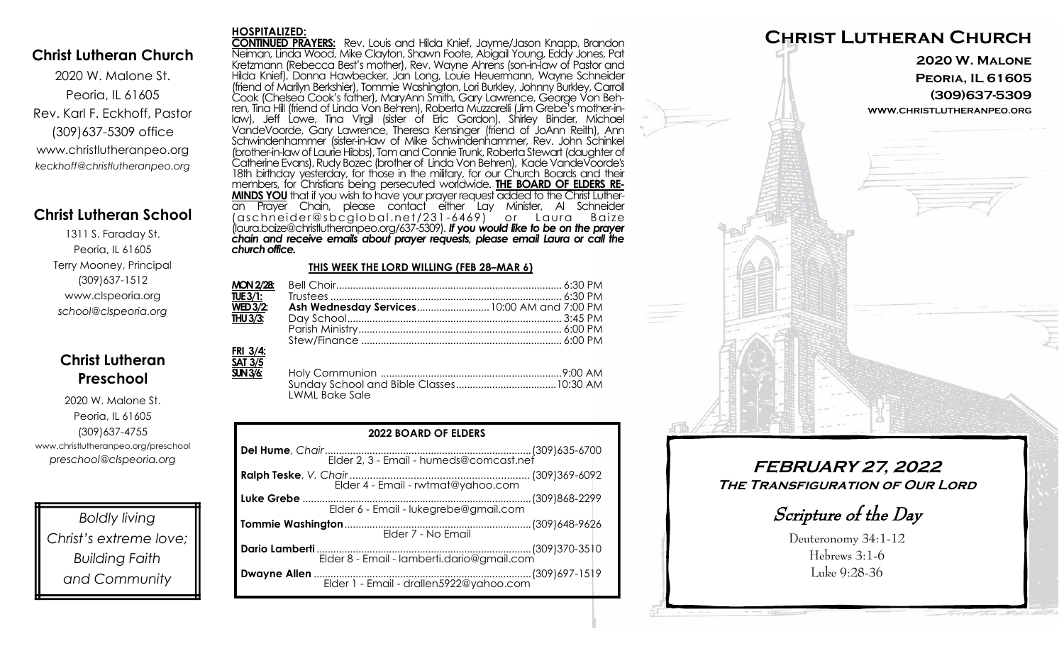### **Christ Lutheran Church**

2020 W. Malone St. Peoria, IL 61605 Rev. Karl F. Eckhoff, Pastor (309)637-5309 office www.christlutheranpeo.org *keckhoff@christlutheranpeo.org*

## **Christ Lutheran School**

1311 S. Faraday St. Peoria, IL 61605 Terry Mooney, Principal (309)637-1512 www.clspeoria.org *school@clspeoria.org*

# **Christ Lutheran Preschool**

2020 W. Malone St. Peoria, IL 61605 (309)637-4755 www.christlutheranpeo.org/preschool *preschool@clspeoria.org*

*Boldly living Christ's extreme love; Building Faith and Community*

#### **HOSPITALIZED:**

**CONTINUED PRAYERS:** Rev. Louis and Hilda Knief, Jayme/Jason Knapp, Brandon Neiman, Linda Wood, Mike Clayton, Shawn Foote, Abigail Young, Eddy Jones, Pat Kretzmann (Rebecca Best's mother), Rev. Wayne Ahrens (son-in-law of Pastor and Hilda Knief), Donna Hawbecker, Jan Long, Louie Heuermann, Wayne Schneider (friend of Marilyn Berkshier), Tommie Washington, Lori Burkley, Johnny Burkley, Carroll Cook (Chelsea Cook's father), MaryAnn Smith, Gary Lawrence, George Von Behren, Tina Hill (friend of Linda Von Behren), Roberta Muzzarelli (Jim Grebe's mother-inlaw), Jeff Lowe, Tina Virgil (sister of Eric Gordon), Shirley Binder, Michael VandeVoorde, Gary Lawrence, Theresa Kensinger (friend of JoAnn Reith), Ann Schwindenhammer (sister-in-law of Mike Schwindenhammer, Rev. John Schinkel (brother-in-law of Laurie Hibbs), Tom and Connie Trunk, Roberta Stewart (daughter of Catherine Evans), Rudy Bozec (brother of Linda Von Behren), Kade VandeVoorde's 18th birthday yesterday, for those in the military, for our Church Boards and their members, for Christians being persecuted worldwide. **THE BOARD OF ELDERS RE-MINDS YOU** that if you wish to have your prayer request added to the Christ Lutheran Prayer Chain, please contact either Lay Minister, Al Schneider (aschn ei der@sbcglo bal .net/231 -6469) o r L aura B aize (laura.baize@christlutheranpeo.org/637-5309). *If you would like to be on the prayer chain and receive emails about prayer requests, please email Laura or call the church office.*

#### **THIS WEEK THE LORD WILLING (FEB 28–MAR 6)**

| <b>MON 2/28:</b>              |                                             |  |
|-------------------------------|---------------------------------------------|--|
|                               |                                             |  |
| $\overline{\text{WED 3/2}}$ : | Ash Wednesday Services 10:00 AM and 7:00 PM |  |
| $\overline{THU3/3}$ :         |                                             |  |
|                               |                                             |  |
|                               |                                             |  |
| FRI 3/4:<br><b>SAT 3/5</b>    |                                             |  |

| <u>.</u> |                       |  |
|----------|-----------------------|--|
| SUN 3/6: |                       |  |
|          |                       |  |
|          | <b>LWML Bake Sale</b> |  |
|          |                       |  |

| <b>2022 BOARD OF ELDERS</b>                |  |  |
|--------------------------------------------|--|--|
|                                            |  |  |
| Elder 4 - Email - rwtmat@yahoo.com         |  |  |
| Elder 6 - Email - lukegrebe@gmail.com      |  |  |
| Elder 7 - No Email                         |  |  |
| Elder 8 - Email - lamberti.dario@gmail.com |  |  |
|                                            |  |  |



**FEBRUARY 27, 2022 The Transfiguration of Our Lord**

Scripture of the Day

Deuteronomy 34:1-12 Hebrews 3:1-6 Luke 9:28-36